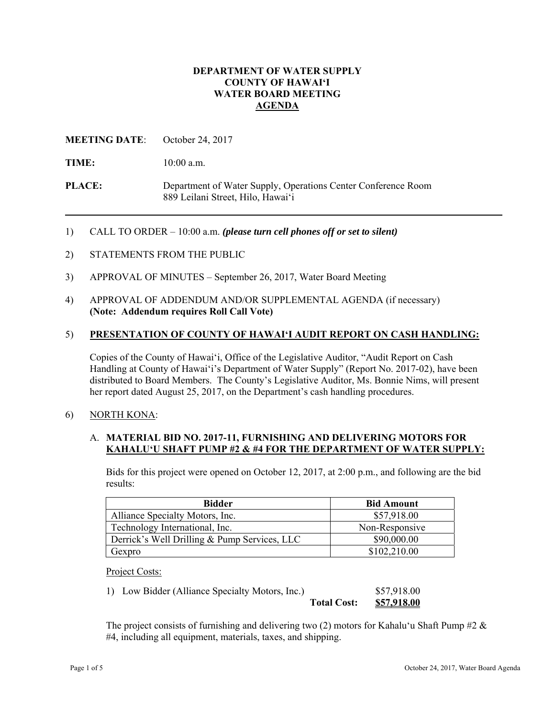## **DEPARTMENT OF WATER SUPPLY COUNTY OF HAWAI'I WATER BOARD MEETING AGENDA**

## **MEETING DATE**: October 24, 2017

TIME: 10:00 a.m.

**PLACE:** Department of Water Supply, Operations Center Conference Room 889 Leilani Street, Hilo, Hawai'i

1) CALL TO ORDER – 10:00 a.m. *(please turn cell phones off or set to silent)*

- 2) STATEMENTS FROM THE PUBLIC
- 3) APPROVAL OF MINUTES September 26, 2017, Water Board Meeting
- 4) APPROVAL OF ADDENDUM AND/OR SUPPLEMENTAL AGENDA (if necessary) **(Note: Addendum requires Roll Call Vote)**

#### 5) **PRESENTATION OF COUNTY OF HAWAI'I AUDIT REPORT ON CASH HANDLING:**

Copies of the County of Hawai'i, Office of the Legislative Auditor, "Audit Report on Cash Handling at County of Hawai'i's Department of Water Supply" (Report No. 2017-02), have been distributed to Board Members. The County's Legislative Auditor, Ms. Bonnie Nims, will present her report dated August 25, 2017, on the Department's cash handling procedures.

#### 6) NORTH KONA:

### A. **MATERIAL BID NO. 2017-11, FURNISHING AND DELIVERING MOTORS FOR KAHALU'U SHAFT PUMP #2 & #4 FOR THE DEPARTMENT OF WATER SUPPLY:**

Bids for this project were opened on October 12, 2017, at 2:00 p.m., and following are the bid results:

| <b>Bidder</b>                                | <b>Bid Amount</b> |
|----------------------------------------------|-------------------|
| Alliance Specialty Motors, Inc.              | \$57,918.00       |
| Technology International, Inc.               | Non-Responsive    |
| Derrick's Well Drilling & Pump Services, LLC | \$90,000.00       |
| Gexpro                                       | \$102,210.00      |

Project Costs:

| 1) Low Bidder (Alliance Specialty Motors, Inc.) |                    | \$57,918.00 |
|-------------------------------------------------|--------------------|-------------|
|                                                 | <b>Total Cost:</b> | \$57,918.00 |

The project consists of furnishing and delivering two (2) motors for Kahalu'u Shaft Pump #2  $\&$ #4, including all equipment, materials, taxes, and shipping.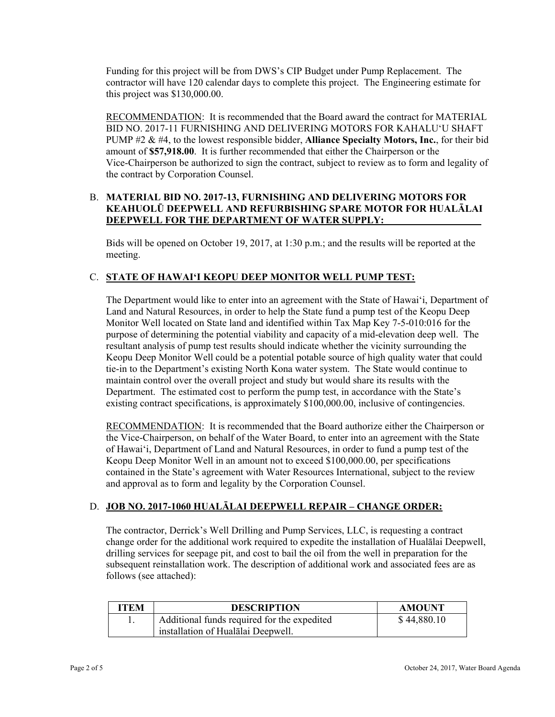Funding for this project will be from DWS's CIP Budget under Pump Replacement. The contractor will have 120 calendar days to complete this project. The Engineering estimate for this project was \$130,000.00.

RECOMMENDATION: It is recommended that the Board award the contract for MATERIAL BID NO. 2017-11 FURNISHING AND DELIVERING MOTORS FOR KAHALUʻU SHAFT PUMP #2 & #4, to the lowest responsible bidder, **Alliance Specialty Motors, Inc.**, for their bid amount of **\$57,918.00**. It is further recommended that either the Chairperson or the Vice-Chairperson be authorized to sign the contract, subject to review as to form and legality of the contract by Corporation Counsel.

## B. **MATERIAL BID NO. 2017-13, FURNISHING AND DELIVERING MOTORS FOR KEAHUOLŪ DEEPWELL AND REFURBISHING SPARE MOTOR FOR HUALĀLAI DEEPWELL FOR THE DEPARTMENT OF WATER SUPPLY:**

Bids will be opened on October 19, 2017, at 1:30 p.m.; and the results will be reported at the meeting.

# C. **STATE OF HAWAI'I KEOPU DEEP MONITOR WELL PUMP TEST:**

The Department would like to enter into an agreement with the State of Hawai'i, Department of Land and Natural Resources, in order to help the State fund a pump test of the Keopu Deep Monitor Well located on State land and identified within Tax Map Key 7-5-010:016 for the purpose of determining the potential viability and capacity of a mid-elevation deep well. The resultant analysis of pump test results should indicate whether the vicinity surrounding the Keopu Deep Monitor Well could be a potential potable source of high quality water that could tie-in to the Department's existing North Kona water system. The State would continue to maintain control over the overall project and study but would share its results with the Department. The estimated cost to perform the pump test, in accordance with the State's existing contract specifications, is approximately \$100,000.00, inclusive of contingencies.

RECOMMENDATION: It is recommended that the Board authorize either the Chairperson or the Vice-Chairperson, on behalf of the Water Board, to enter into an agreement with the State of Hawai'i, Department of Land and Natural Resources, in order to fund a pump test of the Keopu Deep Monitor Well in an amount not to exceed \$100,000.00, per specifications contained in the State's agreement with Water Resources International, subject to the review and approval as to form and legality by the Corporation Counsel.

### D. **JOB NO. 2017-1060 HUALĀLAI DEEPWELL REPAIR – CHANGE ORDER:**

The contractor, Derrick's Well Drilling and Pump Services, LLC, is requesting a contract change order for the additional work required to expedite the installation of Hualālai Deepwell, drilling services for seepage pit, and cost to bail the oil from the well in preparation for the subsequent reinstallation work. The description of additional work and associated fees are as follows (see attached):

| <b>ITEM</b> | <b>DESCRIPTION</b>                          | <b>AMOUNT</b> |
|-------------|---------------------------------------------|---------------|
|             | Additional funds required for the expedited | \$44,880.10   |
|             | installation of Hualalai Deepwell.          |               |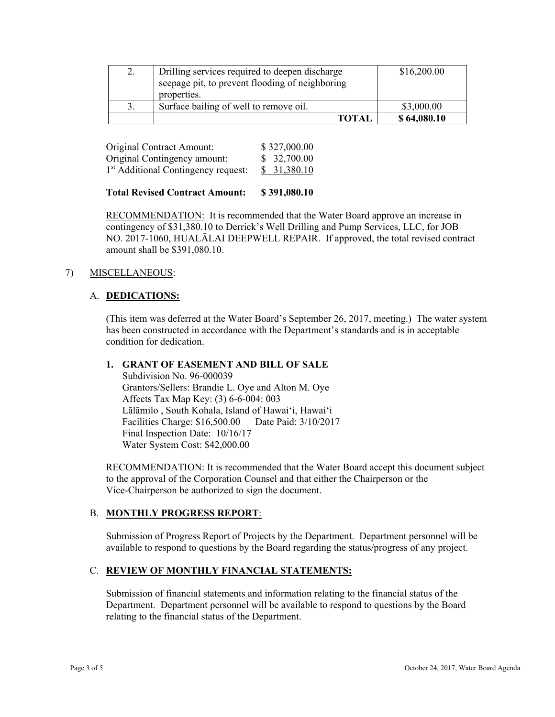| Drilling services required to deepen discharge<br>seepage pit, to prevent flooding of neighboring<br>properties. | \$16,200.00 |
|------------------------------------------------------------------------------------------------------------------|-------------|
| Surface bailing of well to remove oil.                                                                           | \$3,000.00  |
| <b>TOTAL</b>                                                                                                     | \$64,080.10 |

| Original Contract Amount:                       | \$327,000.00 |
|-------------------------------------------------|--------------|
| Original Contingency amount:                    | \$32,700.00  |
| 1 <sup>st</sup> Additional Contingency request: | \$31,380.10  |

### **Total Revised Contract Amount: \$ 391,080.10**

RECOMMENDATION: It is recommended that the Water Board approve an increase in contingency of \$31,380.10 to Derrick's Well Drilling and Pump Services, LLC, for JOB NO. 2017-1060, HUALĀLAI DEEPWELL REPAIR. If approved, the total revised contract amount shall be \$391,080.10.

### 7) MISCELLANEOUS:

### A. **DEDICATIONS:**

(This item was deferred at the Water Board's September 26, 2017, meeting.) The water system has been constructed in accordance with the Department's standards and is in acceptable condition for dedication.

#### **1. GRANT OF EASEMENT AND BILL OF SALE**

 Affects Tax Map Key: (3) 6-6-004: 003 Subdivision No. 96-000039 Grantors/Sellers: Brandie L. Oye and Alton M. Oye Lālāmilo , South Kohala, Island of Hawai'i, Hawai'i Facilities Charge: \$16,500.00 Date Paid: 3/10/2017 Final Inspection Date: 10/16/17 Water System Cost: \$42,000.00

RECOMMENDATION: It is recommended that the Water Board accept this document subject to the approval of the Corporation Counsel and that either the Chairperson or the Vice-Chairperson be authorized to sign the document.

#### B. **MONTHLY PROGRESS REPORT**:

Submission of Progress Report of Projects by the Department. Department personnel will be available to respond to questions by the Board regarding the status/progress of any project.

## C. **REVIEW OF MONTHLY FINANCIAL STATEMENTS:**

Submission of financial statements and information relating to the financial status of the Department. Department personnel will be available to respond to questions by the Board relating to the financial status of the Department.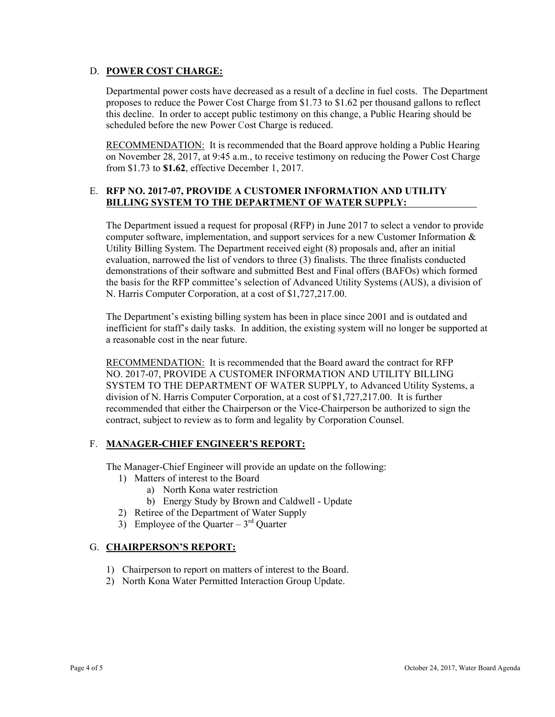# D. **POWER COST CHARGE:**

Departmental power costs have decreased as a result of a decline in fuel costs. The Department proposes to reduce the Power Cost Charge from \$1.73 to \$1.62 per thousand gallons to reflect this decline. In order to accept public testimony on this change, a Public Hearing should be scheduled before the new Power Cost Charge is reduced.

RECOMMENDATION: It is recommended that the Board approve holding a Public Hearing on November 28, 2017, at 9:45 a.m., to receive testimony on reducing the Power Cost Charge from \$1.73 to **\$1.62**, effective December 1, 2017.

# E. **RFP NO. 2017-07, PROVIDE A CUSTOMER INFORMATION AND UTILITY BILLING SYSTEM TO THE DEPARTMENT OF WATER SUPPLY:**

The Department issued a request for proposal (RFP) in June 2017 to select a vendor to provide computer software, implementation, and support services for a new Customer Information & Utility Billing System. The Department received eight (8) proposals and, after an initial evaluation, narrowed the list of vendors to three (3) finalists. The three finalists conducted demonstrations of their software and submitted Best and Final offers (BAFOs) which formed the basis for the RFP committee's selection of Advanced Utility Systems (AUS), a division of N. Harris Computer Corporation, at a cost of \$1,727,217.00.

The Department's existing billing system has been in place since 2001 and is outdated and inefficient for staff's daily tasks. In addition, the existing system will no longer be supported at a reasonable cost in the near future.

RECOMMENDATION: It is recommended that the Board award the contract for RFP NO. 2017-07, PROVIDE A CUSTOMER INFORMATION AND UTILITY BILLING SYSTEM TO THE DEPARTMENT OF WATER SUPPLY, to Advanced Utility Systems, a division of N. Harris Computer Corporation, at a cost of \$1,727,217.00. It is further recommended that either the Chairperson or the Vice-Chairperson be authorized to sign the contract, subject to review as to form and legality by Corporation Counsel.

# F. **MANAGER-CHIEF ENGINEER'S REPORT:**

The Manager-Chief Engineer will provide an update on the following:

- 1) Matters of interest to the Board
	- a) North Kona water restriction
	- b) Energy Study by Brown and Caldwell Update
- 2) Retiree of the Department of Water Supply
- 3) Employee of the Quarter  $3<sup>rd</sup>$  Quarter

### G. **CHAIRPERSON'S REPORT:**

- 1) Chairperson to report on matters of interest to the Board.
- 2) North Kona Water Permitted Interaction Group Update.